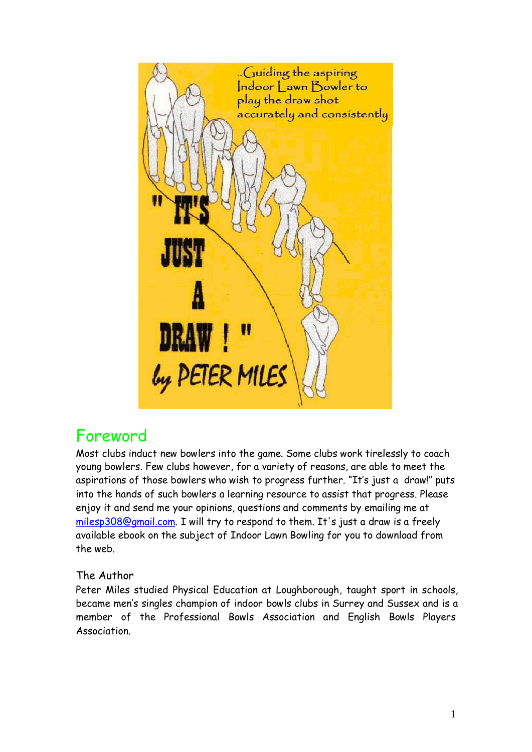

# Foreword

Most clubs induct new bowlers into the game. Some clubs work tirelessly to coach young bowlers. Few clubs however, for a variety of reasons, are able to meet the aspirations of those bowlers who wish to progress further. "It's just a draw!" puts into the hands of such bowlers a learning resource to assist that progress. Please enjoy it and send me your opinions, questions and comments by emailing me at [milesp308@gmail.com.](mailto:milesp308@gmail.com) I will try to respond to them. It's just a draw is a freely available ebook on the subject of Indoor Lawn Bowling for you to download from the web.

#### The Author

Peter Miles studied Physical Education at Loughborough, taught sport in schools, became men's singles champion of indoor bowls clubs in Surrey and Sussex and is a member of the Professional Bowls Association and English Bowls Players Association.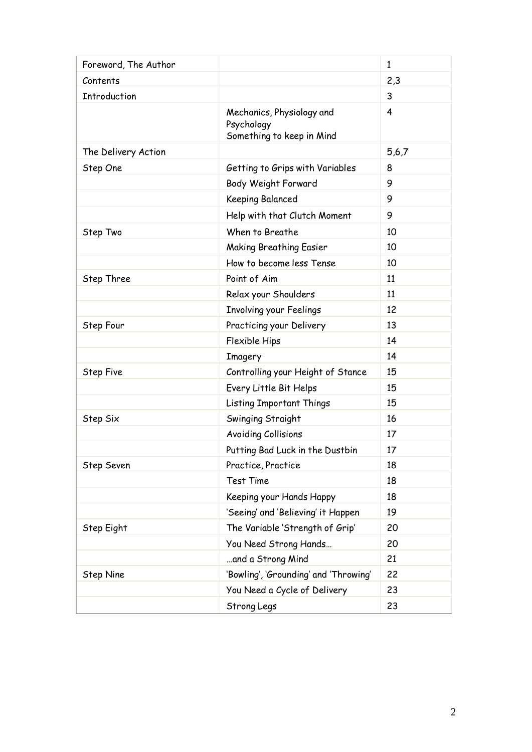| Foreword, The Author |                                                                      | 1     |
|----------------------|----------------------------------------------------------------------|-------|
| Contents             |                                                                      | 2,3   |
| <b>Introduction</b>  |                                                                      | 3     |
|                      | Mechanics, Physiology and<br>Psychology<br>Something to keep in Mind | 4     |
| The Delivery Action  |                                                                      | 5,6,7 |
| Step One             | Getting to Grips with Variables                                      | 8     |
|                      | Body Weight Forward                                                  | 9     |
|                      | Keeping Balanced                                                     | 9     |
|                      | Help with that Clutch Moment                                         | 9     |
| Step Two             | When to Breathe                                                      | 10    |
|                      | <b>Making Breathing Easier</b>                                       | 10    |
|                      | How to become less Tense                                             | 10    |
| Step Three           | Point of Aim                                                         | 11    |
|                      | Relax your Shoulders                                                 | 11    |
|                      | Involving your Feelings                                              | 12    |
| Step Four            | Practicing your Delivery                                             | 13    |
|                      | Flexible Hips                                                        | 14    |
|                      | Imagery                                                              | 14    |
| <b>Step Five</b>     | Controlling your Height of Stance                                    | 15    |
|                      | Every Little Bit Helps                                               | 15    |
|                      | <b>Listing Important Things</b>                                      | 15    |
| Step Six             | Swinging Straight                                                    | 16    |
|                      | <b>Avoiding Collisions</b>                                           | 17    |
|                      | Putting Bad Luck in the Dustbin                                      | 17    |
| Step Seven           | Practice, Practice                                                   | 18    |
|                      | <b>Test Time</b>                                                     | 18    |
|                      | Keeping your Hands Happy                                             | 18    |
|                      | 'Seeing' and 'Believing' it Happen                                   | 19    |
| Step Eight           | The Variable 'Strength of Grip'                                      | 20    |
|                      | You Need Strong Hands                                                | 20    |
|                      | and a Strong Mind                                                    | 21    |
| <b>Step Nine</b>     | 'Bowling', 'Grounding' and 'Throwing'                                | 22    |
|                      | You Need a Cycle of Delivery                                         | 23    |
|                      | Strong Legs                                                          | 23    |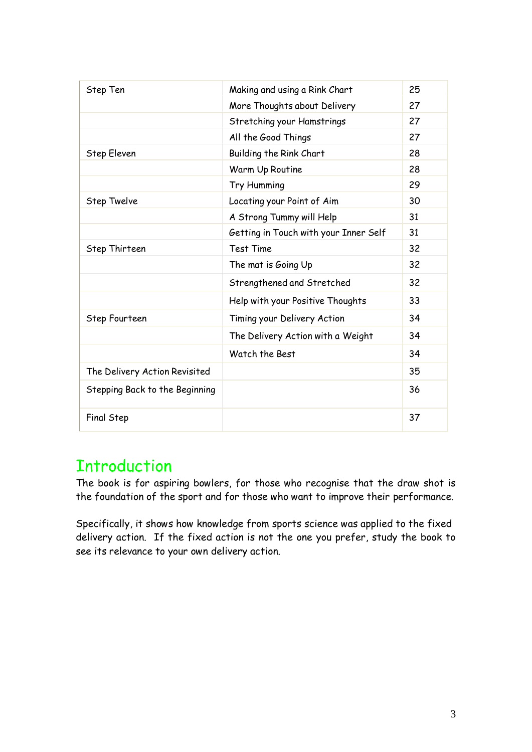| Step Ten                       | Making and using a Rink Chart         | 25 |
|--------------------------------|---------------------------------------|----|
|                                | More Thoughts about Delivery          | 27 |
|                                | Stretching your Hamstrings            | 27 |
|                                | All the Good Things                   | 27 |
| Step Eleven                    | Building the Rink Chart               | 28 |
|                                | Warm Up Routine                       | 28 |
|                                | Try Humming                           | 29 |
| Step Twelve                    | Locating your Point of Aim            | 30 |
|                                | A Strong Tummy will Help              | 31 |
|                                | Getting in Touch with your Inner Self | 31 |
| Step Thirteen                  | <b>Test Time</b>                      | 32 |
|                                | The mat is Going Up                   | 32 |
|                                | Strengthened and Stretched            | 32 |
|                                | Help with your Positive Thoughts      | 33 |
| Step Fourteen                  | Timing your Delivery Action           | 34 |
|                                | The Delivery Action with a Weight     | 34 |
|                                | Watch the Best                        | 34 |
| The Delivery Action Revisited  |                                       | 35 |
| Stepping Back to the Beginning |                                       | 36 |
| Final Step                     |                                       | 37 |

# **Introduction**

The book is for aspiring bowlers, for those who recognise that the draw shot is the foundation of the sport and for those who want to improve their performance.

Specifically, it shows how knowledge from sports science was applied to the fixed delivery action. If the fixed action is not the one you prefer, study the book to see its relevance to your own delivery action.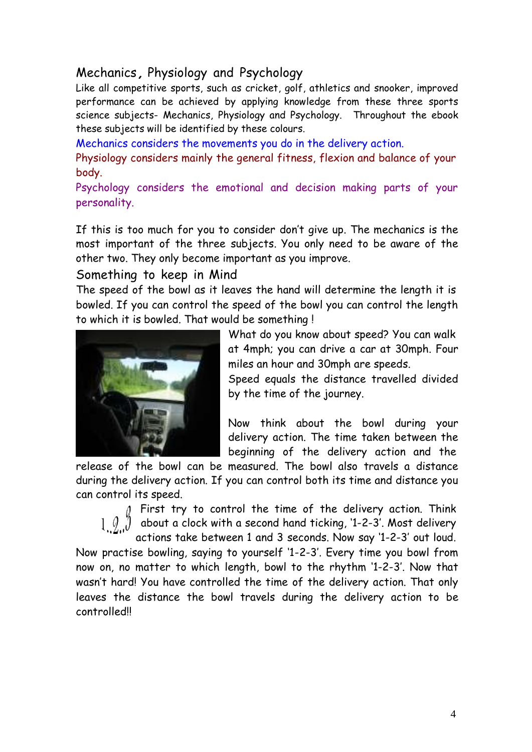### Mechanics, Physiology and Psychology

Like all competitive sports, such as cricket, golf, athletics and snooker, improved performance can be achieved by applying knowledge from these three sports science subjects- Mechanics, Physiology and Psychology. Throughout the ebook these subjects will be identified by these colours.

Mechanics considers the movements you do in the delivery action.

Physiology considers mainly the general fitness, flexion and balance of your body.

Psychology considers the emotional and decision making parts of your personality.

If this is too much for you to consider don't give up. The mechanics is the most important of the three subjects. You only need to be aware of the other two. They only become important as you improve.

#### Something to keep in Mind

The speed of the bowl as it leaves the hand will determine the length it is bowled. If you can control the speed of the bowl you can control the length to which it is bowled. That would be something !



What do you know about speed? You can walk at 4mph; you can drive a car at 30mph. Four miles an hour and 30mph are speeds.

Speed equals the distance travelled divided by the time of the journey.

Now think about the bowl during your delivery action. The time taken between the beginning of the delivery action and the

release of the bowl can be measured. The bowl also travels a distance during the delivery action. If you can control both its time and distance you can control its speed.

> First try to control the time of the delivery action. Think about a clock with a second hand ticking, '1-2-3'. Most delivery actions take between 1 and 3 seconds. Now say '1-2-3' out loud.

Now practise bowling, saying to yourself '1-2-3'. Every time you bowl from now on, no matter to which length, bowl to the rhythm '1-2-3'. Now that wasn't hard! You have controlled the time of the delivery action. That only leaves the distance the bowl travels during the delivery action to be controlled!!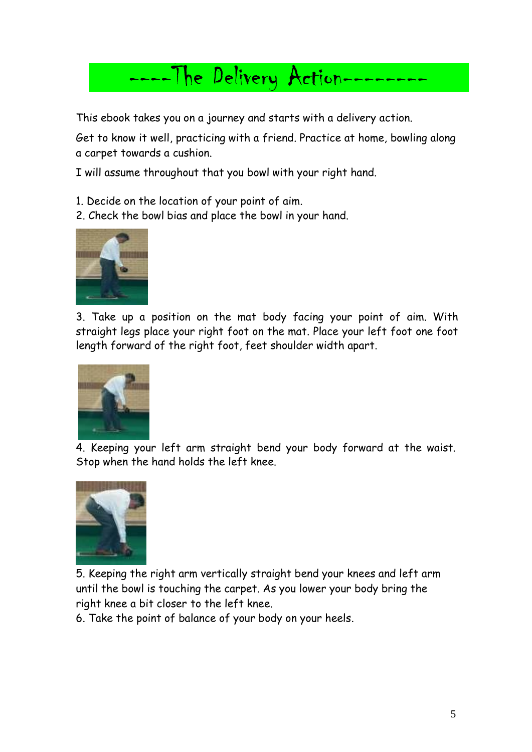# The Delivery Action-

This ebook takes you on a journey and starts with a delivery action.

Get to know it well, practicing with a friend. Practice at home, bowling along a carpet towards a cushion.

I will assume throughout that you bowl with your right hand.

1. Decide on the location of your point of aim.

2. Check the bowl bias and place the bowl in your hand.



3. Take up a position on the mat body facing your point of aim. With straight legs place your right foot on the mat. Place your left foot one foot length forward of the right foot, feet shoulder width apart.



4. Keeping your left arm straight bend your body forward at the waist. Stop when the hand holds the left knee.



5. Keeping the right arm vertically straight bend your knees and left arm until the bowl is touching the carpet. As you lower your body bring the right knee a bit closer to the left knee.

6. Take the point of balance of your body on your heels.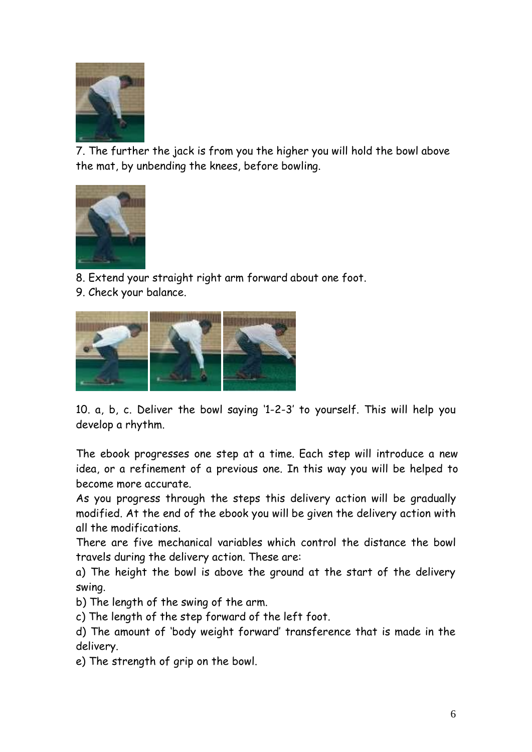

7. The further the jack is from you the higher you will hold the bowl above the mat, by unbending the knees, before bowling.



8. Extend your straight right arm forward about one foot.

9. Check your balance.



10. a, b, c. Deliver the bowl saying '1-2-3' to yourself. This will help you develop a rhythm.

The ebook progresses one step at a time. Each step will introduce a new idea, or a refinement of a previous one. In this way you will be helped to become more accurate.

As you progress through the steps this delivery action will be gradually modified. At the end of the ebook you will be given the delivery action with all the modifications.

There are five mechanical variables which control the distance the bowl travels during the delivery action. These are:

a) The height the bowl is above the ground at the start of the delivery swing.

b) The length of the swing of the arm.

c) The length of the step forward of the left foot.

d) The amount of 'body weight forward' transference that is made in the delivery.

e) The strength of grip on the bowl.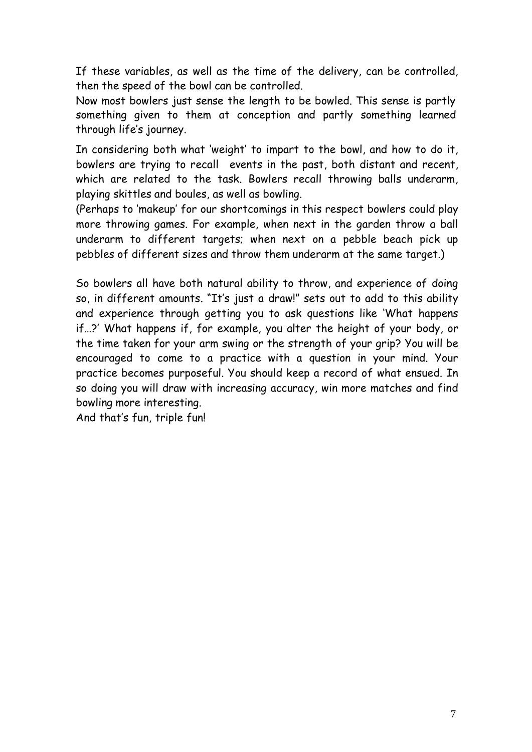If these variables, as well as the time of the delivery, can be controlled, then the speed of the bowl can be controlled.

Now most bowlers just sense the length to be bowled. This sense is partly something given to them at conception and partly something learned through life's journey.

In considering both what 'weight' to impart to the bowl, and how to do it, bowlers are trying to recall events in the past, both distant and recent, which are related to the task. Bowlers recall throwing balls underarm, playing skittles and boules, as well as bowling.

(Perhaps to 'makeup' for our shortcomings in this respect bowlers could play more throwing games. For example, when next in the garden throw a ball underarm to different targets; when next on a pebble beach pick up pebbles of different sizes and throw them underarm at the same target.)

So bowlers all have both natural ability to throw, and experience of doing so, in different amounts. "It's just a draw!" sets out to add to this ability and experience through getting you to ask questions like 'What happens if…?' What happens if, for example, you alter the height of your body, or the time taken for your arm swing or the strength of your grip? You will be encouraged to come to a practice with a question in your mind. Your practice becomes purposeful. You should keep a record of what ensued. In so doing you will draw with increasing accuracy, win more matches and find bowling more interesting.

And that's fun, triple fun!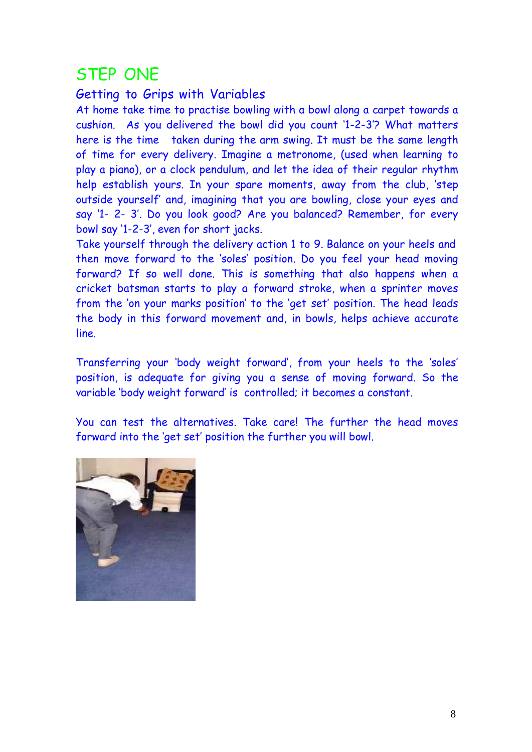# STEP ONE

#### Getting to Grips with Variables

At home take time to practise bowling with a bowl along a carpet towards a cushion. As you delivered the bowl did you count '1-2-3'? What matters here is the time taken during the arm swing. It must be the same length of time for every delivery. Imagine a metronome, (used when learning to play a piano), or a clock pendulum, and let the idea of their regular rhythm help establish yours. In your spare moments, away from the club, 'step outside yourself' and, imagining that you are bowling, close your eyes and say '1- 2- 3'. Do you look good? Are you balanced? Remember, for every bowl say '1-2-3', even for short jacks.

Take yourself through the delivery action 1 to 9. Balance on your heels and then move forward to the 'soles' position. Do you feel your head moving forward? If so well done. This is something that also happens when a cricket batsman starts to play a forward stroke, when a sprinter moves from the 'on your marks position' to the 'get set' position. The head leads the body in this forward movement and, in bowls, helps achieve accurate line.

Transferring your 'body weight forward', from your heels to the 'soles' position, is adequate for giving you a sense of moving forward. So the variable 'body weight forward' is controlled; it becomes a constant.

You can test the alternatives. Take care! The further the head moves forward into the 'get set' position the further you will bowl.

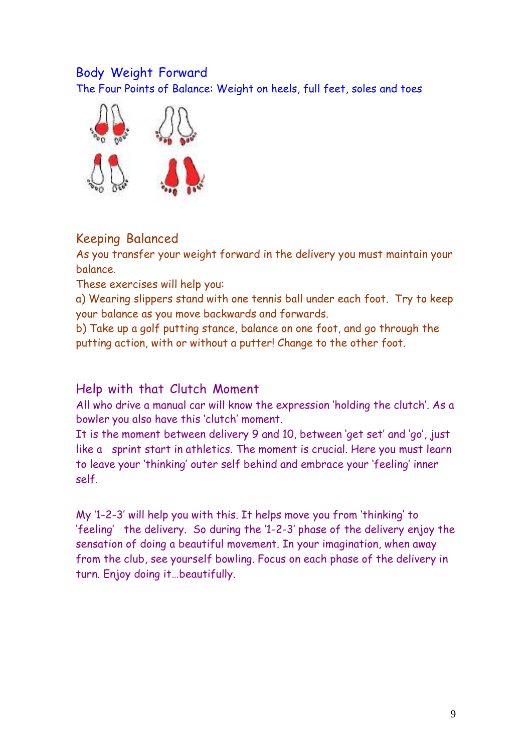### Body Weight Forward

The Four Points of Balance: Weight on heels, full feet, soles and toes



## Keeping Balanced

As you transfer your weight forward in the delivery you must maintain your balance.

These exercises will help you:

a) Wearing slippers stand with one tennis ball under each foot. Try to keep your balance as you move backwards and forwards.

b) Take up a golf putting stance, balance on one foot, and go through the putting action, with or without a putter! Change to the other foot.

#### Help with that Clutch Moment

All who drive a manual car will know the expression 'holding the clutch'. As a bowler you also have this 'clutch' moment.

It is the moment between delivery 9 and 10, between 'get set' and 'go', just like a sprint start in athletics. The moment is crucial. Here you must learn to leave your 'thinking' outer self behind and embrace your 'feeling' inner self.

My '1-2-3' will help you with this. It helps move you from 'thinking' to 'feeling' the delivery. So during the '1-2-3' phase of the delivery enjoy the sensation of doing a beautiful movement. In your imagination, when away from the club, see yourself bowling. Focus on each phase of the delivery in turn. Enjoy doing it…beautifully.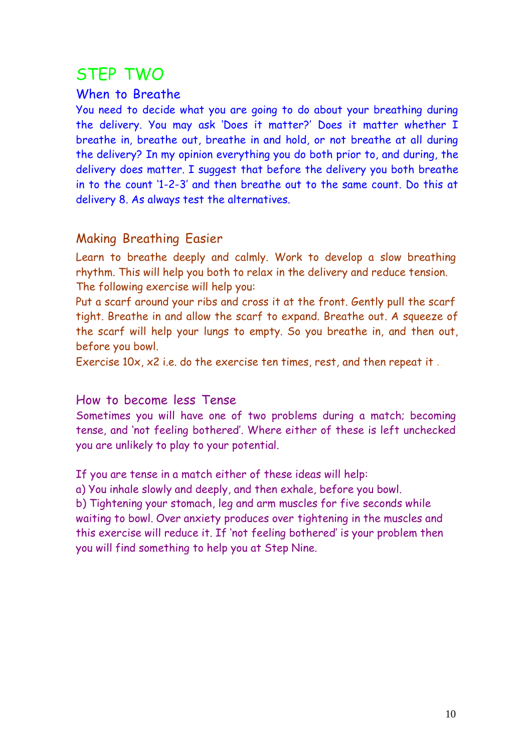# STEP TWO

#### When to Breathe

You need to decide what you are going to do about your breathing during the delivery. You may ask 'Does it matter?' Does it matter whether I breathe in, breathe out, breathe in and hold, or not breathe at all during the delivery? In my opinion everything you do both prior to, and during, the delivery does matter. I suggest that before the delivery you both breathe in to the count '1-2-3' and then breathe out to the same count. Do this at delivery 8. As always test the alternatives.

## Making Breathing Easier

Learn to breathe deeply and calmly. Work to develop a slow breathing rhythm. This will help you both to relax in the delivery and reduce tension. The following exercise will help you:

Put a scarf around your ribs and cross it at the front. Gently pull the scarf tight. Breathe in and allow the scarf to expand. Breathe out. A squeeze of the scarf will help your lungs to empty. So you breathe in, and then out, before you bowl.

Exercise 10x, x2 i.e. do the exercise ten times, rest, and then repeat it .

How to become less Tense

Sometimes you will have one of two problems during a match; becoming tense, and 'not feeling bothered'. Where either of these is left unchecked you are unlikely to play to your potential.

If you are tense in a match either of these ideas will help:

a) You inhale slowly and deeply, and then exhale, before you bowl.

b) Tightening your stomach, leg and arm muscles for five seconds while waiting to bowl. Over anxiety produces over tightening in the muscles and this exercise will reduce it. If 'not feeling bothered' is your problem then you will find something to help you at Step Nine.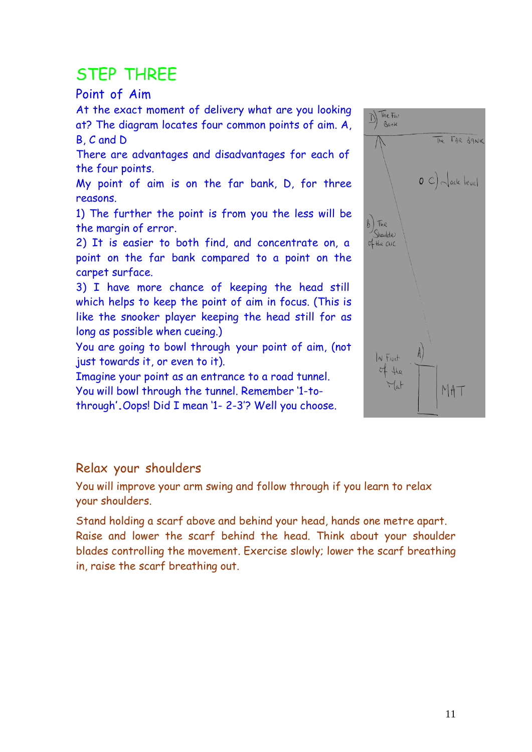# STEP THREE

### Point of Aim

At the exact moment of delivery what are you looking at? The diagram locates four common points of aim. A, B, C and D

There are advantages and disadvantages for each of the four points.

My point of aim is on the far bank, D, for three reasons.

1) The further the point is from you the less will be the margin of error.

2) It is easier to both find, and concentrate on, a point on the far bank compared to a point on the carpet surface.

3) I have more chance of keeping the head still which helps to keep the point of aim in focus. (This is like the snooker player keeping the head still for as long as possible when cueing.)

You are going to bowl through your point of aim, (not just towards it, or even to it).

Imagine your point as an entrance to a road tunnel. You will bowl through the tunnel. Remember '1-tothrough'.Oops! Did <sup>I</sup> mean '1- 2-3'? Well you choose.



### Relax your shoulders

You will improve your arm swing and follow through if you learn to relax your shoulders.

Stand holding a scarf above and behind your head, hands one metre apart. Raise and lower the scarf behind the head. Think about your shoulder blades controlling the movement. Exercise slowly; lower the scarf breathing in, raise the scarf breathing out.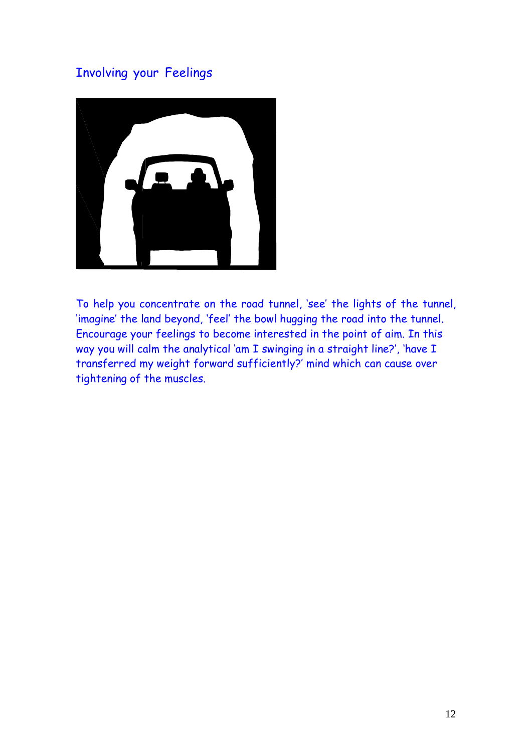# Involving your Feelings



To help you concentrate on the road tunnel, 'see' the lights of the tunnel, 'imagine' the land beyond, 'feel' the bowl hugging the road into the tunnel. Encourage your feelings to become interested in the point of aim. In this way you will calm the analytical 'am I swinging in a straight line?', 'have I transferred my weight forward sufficiently?' mind which can cause over tightening of the muscles.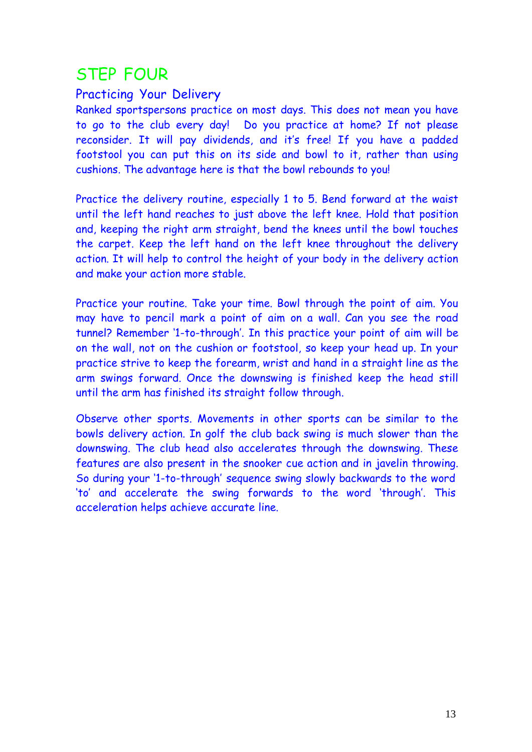# STEP FOUR

## Practicing Your Delivery

Ranked sportspersons practice on most days. This does not mean you have to go to the club every day! Do you practice at home? If not please reconsider. It will pay dividends, and it's free! If you have a padded footstool you can put this on its side and bowl to it, rather than using cushions. The advantage here is that the bowl rebounds to you!

Practice the delivery routine, especially 1 to 5. Bend forward at the waist until the left hand reaches to just above the left knee. Hold that position and, keeping the right arm straight, bend the knees until the bowl touches the carpet. Keep the left hand on the left knee throughout the delivery action. It will help to control the height of your body in the delivery action and make your action more stable.

Practice your routine. Take your time. Bowl through the point of aim. You may have to pencil mark a point of aim on a wall. Can you see the road tunnel? Remember '1-to-through'. In this practice your point of aim will be on the wall, not on the cushion or footstool, so keep your head up. In your practice strive to keep the forearm, wrist and hand in a straight line as the arm swings forward. Once the downswing is finished keep the head still until the arm has finished its straight follow through.

Observe other sports. Movements in other sports can be similar to the bowls delivery action. In golf the club back swing is much slower than the downswing. The club head also accelerates through the downswing. These features are also present in the snooker cue action and in javelin throwing. So during your '1-to-through' sequence swing slowly backwards to the word 'to' and accelerate the swing forwards to the word 'through'. This acceleration helps achieve accurate line.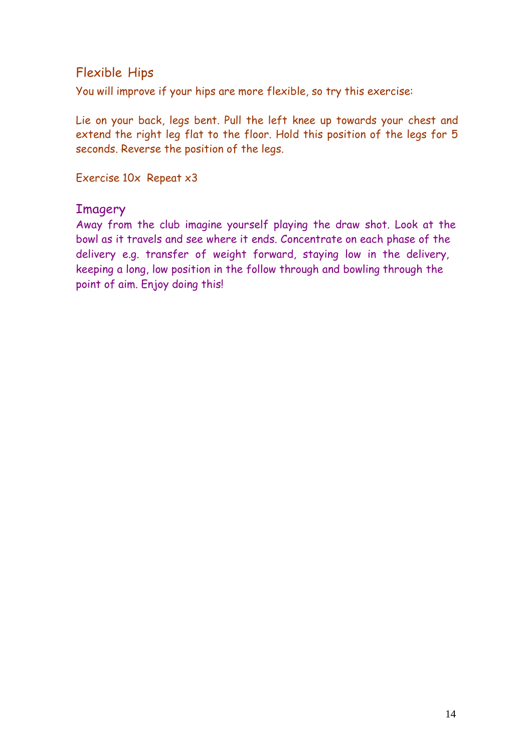### Flexible Hips

You will improve if your hips are more flexible, so try this exercise:

Lie on your back, legs bent. Pull the left knee up towards your chest and extend the right leg flat to the floor. Hold this position of the legs for 5 seconds. Reverse the position of the legs.

Exercise 10x Repeat x3

#### Imagery

Away from the club imagine yourself playing the draw shot. Look at the bowl as it travels and see where it ends. Concentrate on each phase of the delivery e.g. transfer of weight forward, staying low in the delivery, keeping a long, low position in the follow through and bowling through the point of aim. Enjoy doing this!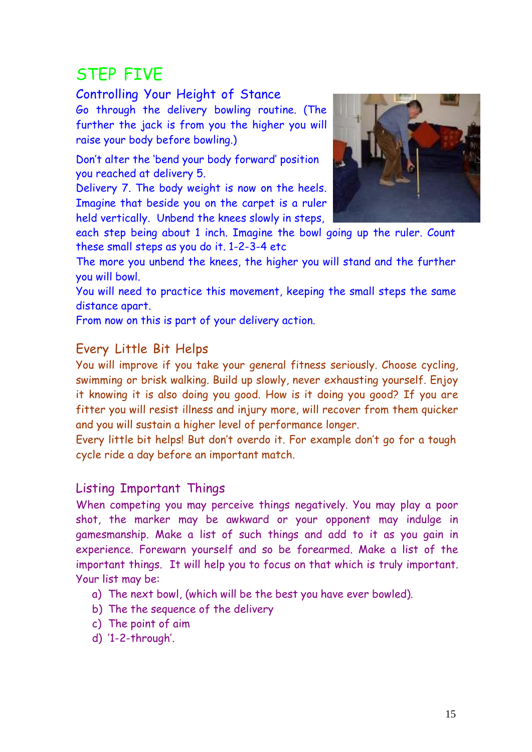# STEP FIVE

#### Controlling Your Height of Stance

Go through the delivery bowling routine. (The further the jack is from you the higher you will raise your body before bowling.)

Don't alter the 'bend your body forward' position you reached at delivery 5.

Delivery 7. The body weight is now on the heels. Imagine that beside you on the carpet is a ruler held vertically. Unbend the knees slowly in steps,



each step being about 1 inch. Imagine the bowl going up the ruler. Count these small steps as you do it. 1-2-3-4 etc

The more you unbend the knees, the higher you will stand and the further you will bowl.

You will need to practice this movement, keeping the small steps the same distance apart.

From now on this is part of your delivery action.

## Every Little Bit Helps

You will improve if you take your general fitness seriously. Choose cycling, swimming or brisk walking. Build up slowly, never exhausting yourself. Enjoy it knowing it is also doing you good. How is it doing you good? If you are fitter you will resist illness and injury more, will recover from them quicker and you will sustain a higher level of performance longer.

Every little bit helps! But don't overdo it. For example don't go for a tough cycle ride a day before an important match.

### Listing Important Things

When competing you may perceive things negatively. You may play a poor shot, the marker may be awkward or your opponent may indulge in gamesmanship. Make a list of such things and add to it as you gain in experience. Forewarn yourself and so be forearmed. Make a list of the important things. It will help you to focus on that which is truly important. Your list may be:

- a) The next bowl, (which will be the best you have ever bowled).
- b) The the sequence of the delivery
- c) The point of aim
- d) '1-2-through'.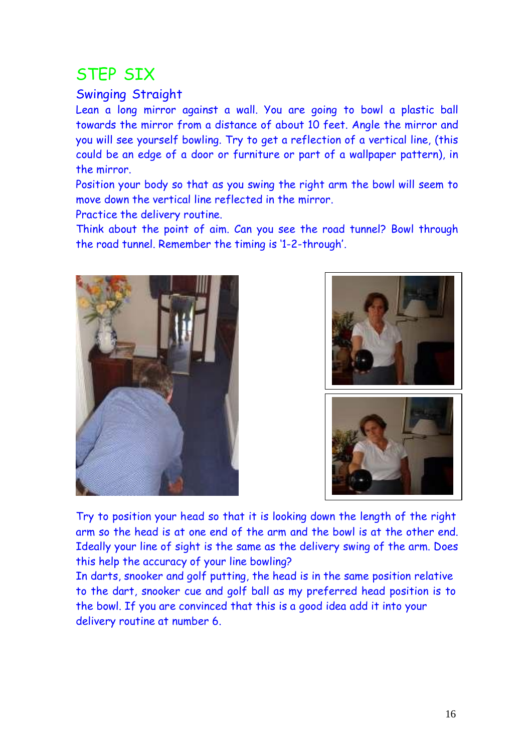# STEP SIX

### Swinging Straight

Lean a long mirror against a wall. You are going to bowl a plastic ball towards the mirror from a distance of about 10 feet. Angle the mirror and you will see yourself bowling. Try to get a reflection of a vertical line, (this could be an edge of a door or furniture or part of a wallpaper pattern), in the mirror.

Position your body so that as you swing the right arm the bowl will seem to move down the vertical line reflected in the mirror.

Practice the delivery routine.

Think about the point of aim. Can you see the road tunnel? Bowl through the road tunnel. Remember the timing is '1-2-through'.







Try to position your head so that it is looking down the length of the right arm so the head is at one end of the arm and the bowl is at the other end. Ideally your line of sight is the same as the delivery swing of the arm. Does this help the accuracy of your line bowling?

In darts, snooker and golf putting, the head is in the same position relative to the dart, snooker cue and golf ball as my preferred head position is to the bowl. If you are convinced that this is a good idea add it into your delivery routine at number 6.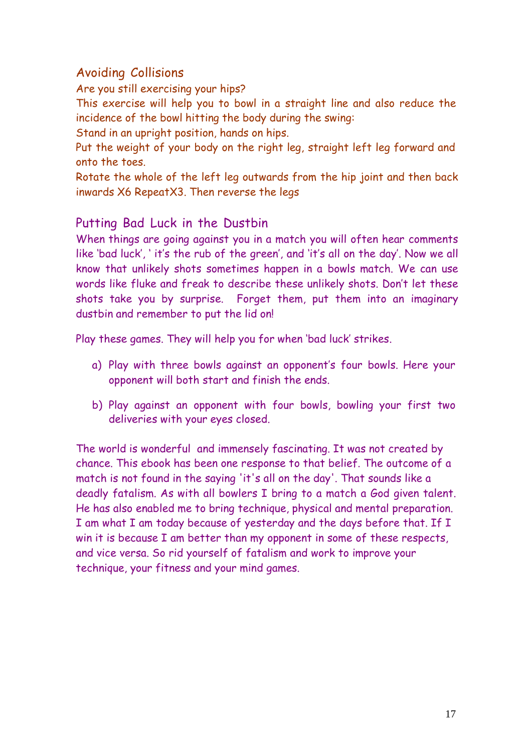## Avoiding Collisions

Are you still exercising your hips?

This exercise will help you to bowl in a straight line and also reduce the incidence of the bowl hitting the body during the swing:

Stand in an upright position, hands on hips.

Put the weight of your body on the right leg, straight left leg forward and onto the toes.

Rotate the whole of the left leg outwards from the hip joint and then back inwards X6 RepeatX3. Then reverse the legs

### Putting Bad Luck in the Dustbin

When things are going against you in a match you will often hear comments like 'bad luck', ' it's the rub of the green', and 'it's all on the day'. Now we all know that unlikely shots sometimes happen in a bowls match. We can use words like fluke and freak to describe these unlikely shots. Don't let these shots take you by surprise. Forget them, put them into an imaginary dustbin and remember to put the lid on!

Play these games. They will help you for when 'bad luck' strikes.

- a) Play with three bowls against an opponent's four bowls. Here your opponent will both start and finish the ends.
- b) Play against an opponent with four bowls, bowling your first two deliveries with your eyes closed.

The world is wonderful and immensely fascinating. It was not created by chance. This ebook has been one response to that belief. The outcome of a match is not found in the saying 'it's all on the day'. That sounds like a deadly fatalism. As with all bowlers I bring to a match a God given talent. He has also enabled me to bring technique, physical and mental preparation. I am what I am today because of yesterday and the days before that. If I win it is because I am better than my opponent in some of these respects, and vice versa. So rid yourself of fatalism and work to improve your technique, your fitness and your mind games.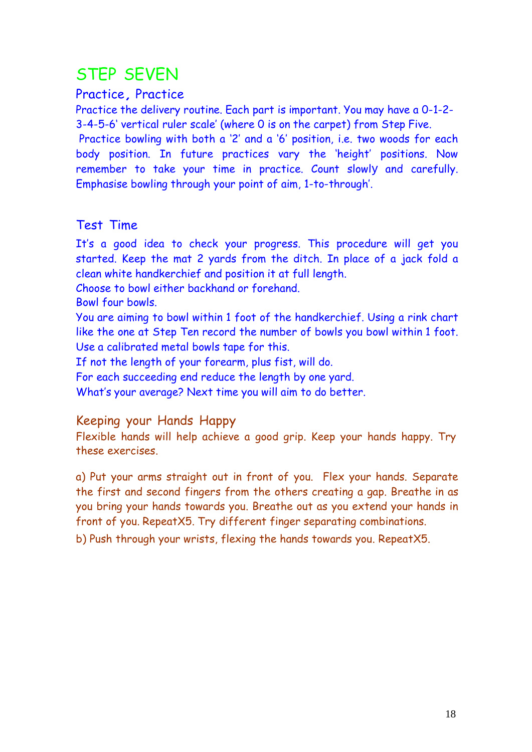# STEP SEVEN

#### Practice, Practice

Practice the delivery routine. Each part is important. You may have a 0-1-2- 3-4-5-6' vertical ruler scale' (where 0 is on the carpet) from Step Five.

Practice bowling with both a '2' and a '6' position, i.e. two woods for each body position. In future practices vary the 'height' positions. Now remember to take your time in practice. Count slowly and carefully. Emphasise bowling through your point of aim, 1-to-through'.

### Test Time

It's a good idea to check your progress. This procedure will get you started. Keep the mat 2 yards from the ditch. In place of a jack fold a clean white handkerchief and position it at full length.

Choose to bowl either backhand or forehand.

Bowl four bowls.

You are aiming to bowl within 1 foot of the handkerchief. Using a rink chart like the one at Step Ten record the number of bowls you bowl within 1 foot. Use a calibrated metal bowls tape for this.

If not the length of your forearm, plus fist, will do.

For each succeeding end reduce the length by one yard.

What's your average? Next time you will aim to do better.

#### Keeping your Hands Happy

Flexible hands will help achieve a good grip. Keep your hands happy. Try these exercises.

a) Put your arms straight out in front of you. Flex your hands. Separate the first and second fingers from the others creating a gap. Breathe in as you bring your hands towards you. Breathe out as you extend your hands in front of you. RepeatX5. Try different finger separating combinations.

b) Push through your wrists, flexing the hands towards you. RepeatX5.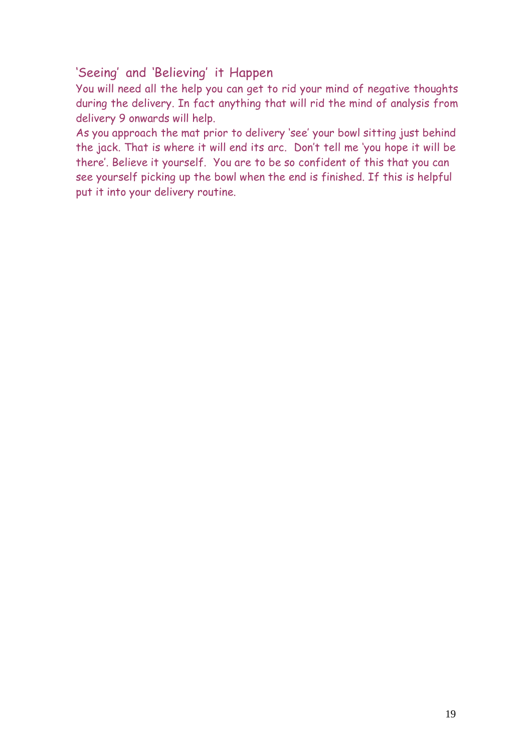### 'Seeing' and 'Believing' it Happen

You will need all the help you can get to rid your mind of negative thoughts during the delivery. In fact anything that will rid the mind of analysis from delivery 9 onwards will help.

As you approach the mat prior to delivery 'see' your bowl sitting just behind the jack. That is where it will end its arc. Don't tell me 'you hope it will be there'. Believe it yourself. You are to be so confident of this that you can see yourself picking up the bowl when the end is finished. If this is helpful put it into your delivery routine.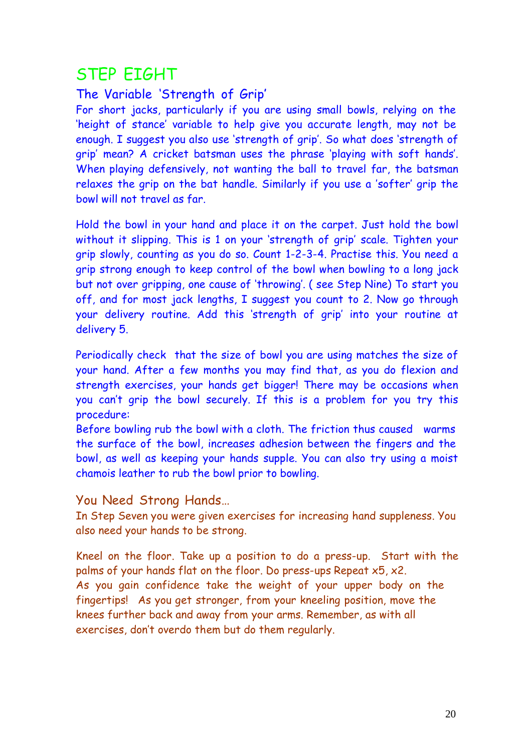# STEP EIGHT

## The Variable 'Strength of Grip'

For short jacks, particularly if you are using small bowls, relying on the 'height of stance' variable to help give you accurate length, may not be enough. I suggest you also use 'strength of grip'. So what does 'strength of grip' mean? A cricket batsman uses the phrase 'playing with soft hands'. When playing defensively, not wanting the ball to travel far, the batsman relaxes the grip on the bat handle. Similarly if you use a 'softer' grip the bowl will not travel as far.

Hold the bowl in your hand and place it on the carpet. Just hold the bowl without it slipping. This is 1 on your 'strength of grip' scale. Tighten your grip slowly, counting as you do so. Count 1-2-3-4. Practise this. You need a grip strong enough to keep control of the bowl when bowling to a long jack but not over gripping, one cause of 'throwing'. ( see Step Nine) To start you off, and for most jack lengths, I suggest you count to 2. Now go through your delivery routine. Add this 'strength of grip' into your routine at delivery 5.

Periodically check that the size of bowl you are using matches the size of your hand. After a few months you may find that, as you do flexion and strength exercises, your hands get bigger! There may be occasions when you can't grip the bowl securely. If this is a problem for you try this procedure:

Before bowling rub the bowl with a cloth. The friction thus caused warms the surface of the bowl, increases adhesion between the fingers and the bowl, as well as keeping your hands supple. You can also try using a moist chamois leather to rub the bowl prior to bowling.

#### You Need Strong Hands…

In Step Seven you were given exercises for increasing hand suppleness. You also need your hands to be strong.

Kneel on the floor. Take up a position to do a press-up. Start with the palms of your hands flat on the floor. Do press-ups Repeat x5, x2. As you gain confidence take the weight of your upper body on the fingertips! As you get stronger, from your kneeling position, move the knees further back and away from your arms. Remember, as with all exercises, don't overdo them but do them regularly.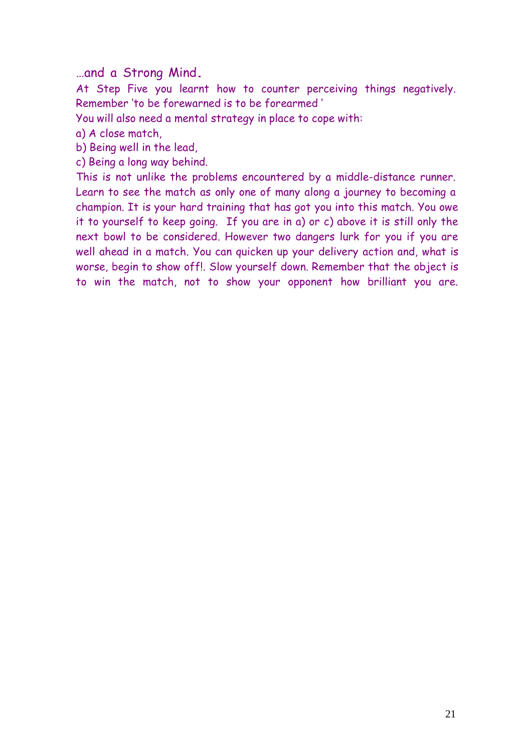…and <sup>a</sup> Strong Mind.

At Step Five you learnt how to counter perceiving things negatively. Remember 'to be forewarned is to be forearmed '

You will also need a mental strategy in place to cope with:

a) A close match,

b) Being well in the lead,

c) Being a long way behind.

This is not unlike the problems encountered by a middle-distance runner. Learn to see the match as only one of many along a journey to becoming a champion. It is your hard training that has got you into this match. You owe it to yourself to keep going. If you are in a) or c) above it is still only the next bowl to be considered. However two dangers lurk for you if you are well ahead in a match. You can quicken up your delivery action and, what is worse, begin to show off!. Slow yourself down. Remember that the object is to win the match, not to show your opponent how brilliant you are.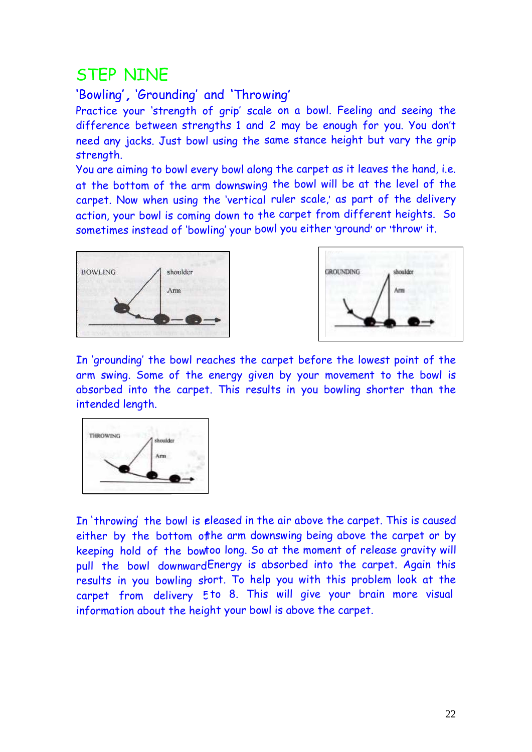# STEP NINE

# 'Bowling', 'Grounding' and 'Throwing'

Practice your 'strength of grip' scale on a bowl. Feeling and seeing the difference between strengths 1 and 2 may be enough for you. You don't need any jacks. Just bowl using the same stance height but vary the grip strength.

You are aiming to bowl every bowl along the carpet as it leaves the hand, i.e. at the bottom of the arm downswing the bowl will be at the level of the carpet. Now when using the 'vertical ruler scale,' as part of the delivery action, your bowl is coming down to the carpet from different heights. So sometimes instead of 'bowling' your bowl you either 'ground' or 'throw' it.





In 'grounding' the bowl reaches the carpet before the lowest point of the arm swing. Some of the energy given by your movement to the bowl is absorbed into the carpet. This results in you bowling shorter than the intended length.



In 'throwing' the bowl is eleased in the air above the carpet. This is caused either by the bottom ofthe arm downswing being above the carpet or by keeping hold of the bowtoo long. So at the moment of release gravity will pull the bowl downward $\sf{Energy}$  is absorbed into the carpet. Again this results in you bowling stort. To help you with this problem look at the carpet from delivery 5 to 8. This will give your brain more visual information about the hei ght your bowl is above the carpet.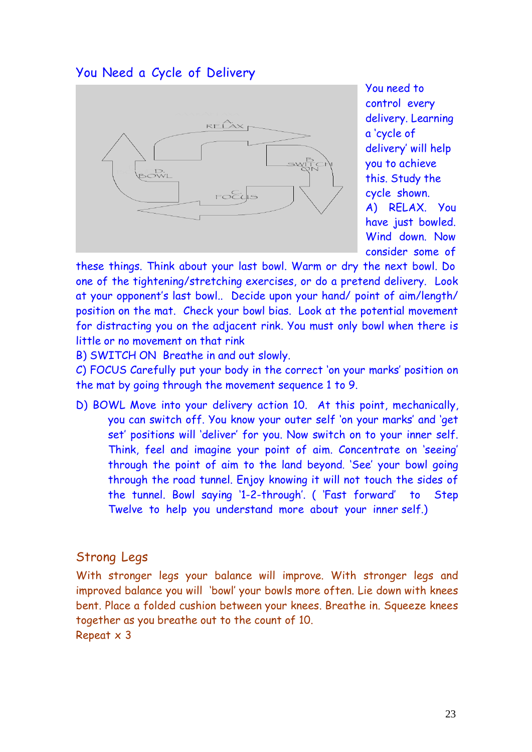### You Need a Cycle of Delivery



You need to control every delivery. Learning a 'cycle of delivery' will help you to achieve this. Study the cycle shown. A) RELAX. You have just bowled. Wind down. Now consider some of

these things. Think about your last bowl. Warm or dry the next bowl. Do one of the tightening/stretching exercises, or do a pretend delivery. Look at your opponent's last bowl.. Decide upon your hand/ point of aim/length/ position on the mat. Check your bowl bias. Look at the potential movement for distracting you on the adjacent rink. You must only bowl when there is little or no movement on that rink

B) SWITCH ON Breathe in and out slowly.

C) FOCUS Carefully put your body in the correct 'on your marks' position on the mat by going through the movement sequence 1 to 9.

D) BOWL Move into your delivery action 10. At this point, mechanically, you can switch off. You know your outer self 'on your marks' and 'get set' positions will 'deliver' for you. Now switch on to your inner self. Think, feel and imagine your point of aim. Concentrate on 'seeing' through the point of aim to the land beyond. 'See' your bowl going through the road tunnel. Enjoy knowing it will not touch the sides of the tunnel. Bowl saying '1-2-through'. ( 'Fast forward' to Step Twelve to help you understand more about your inner self.)

#### Strong Legs

With stronger legs your balance will improve. With stronger legs and improved balance you will 'bowl' your bowls more often. Lie down with knees bent. Place a folded cushion between your knees. Breathe in. Squeeze knees together as you breathe out to the count of 10. Repeat x 3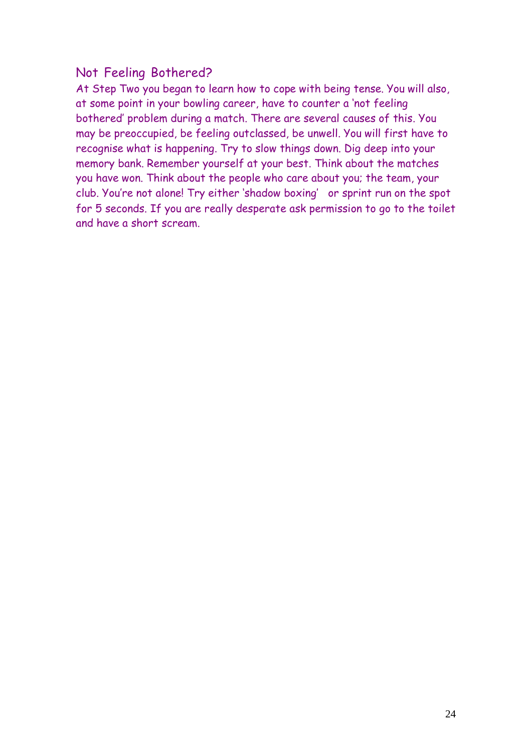### Not Feeling Bothered?

At Step Two you began to learn how to cope with being tense. You will also, at some point in your bowling career, have to counter a 'not feeling bothered' problem during a match. There are several causes of this. You may be preoccupied, be feeling outclassed, be unwell. You will first have to recognise what is happening. Try to slow things down. Dig deep into your memory bank. Remember yourself at your best. Think about the matches you have won. Think about the people who care about you; the team, your club. You're not alone! Try either 'shadow boxing' or sprint run on the spot for 5 seconds. If you are really desperate ask permission to go to the toilet and have a short scream.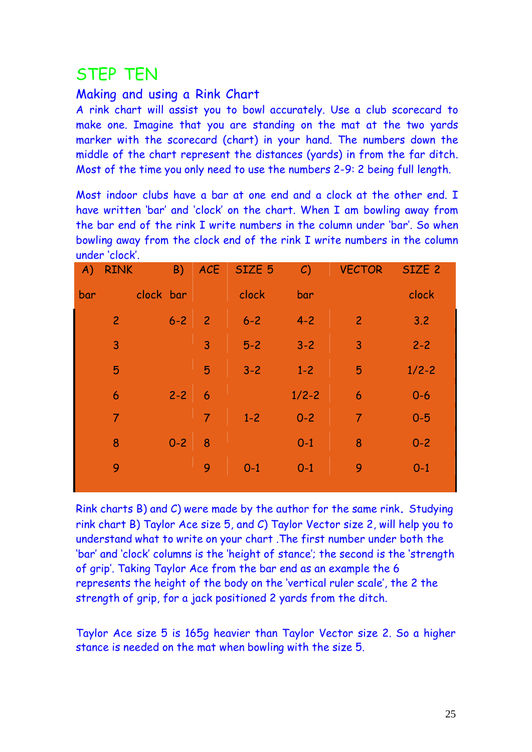# STEP TEN

#### Making and using a Rink Chart

A rink chart will assist you to bowl accurately. Use a club scorecard to make one. Imagine that you are standing on the mat at the two yards marker with the scorecard (chart) in your hand. The numbers down the middle of the chart represent the distances (yards) in from the far ditch. Most of the time you only need to use the numbers 2-9: 2 being full length.

Most indoor clubs have a bar at one end and a clock at the other end. I have written 'bar' and 'clock' on the chart. When I am bowling away from the bar end of the rink I write numbers in the column under 'bar'. So when bowling away from the clock end of the rink I write numbers in the column under 'clock'.

| (A) | <b>RINK</b>    | <b>B</b> ) |                 | ACE SIZE 5 | $\mathcal{C}$ | <b>VECTOR</b>  | SIZE <sub>2</sub> |
|-----|----------------|------------|-----------------|------------|---------------|----------------|-------------------|
| bar | clock bar      |            |                 | clock      | bar           |                | clock             |
|     | $\overline{2}$ | $6 - 2$    | $\overline{2}$  | $6 - 2$    | $4 - 2$       | $\overline{2}$ | 3.2               |
|     | 3              |            | $\overline{3}$  | $5 - 2$    | $3 - 2$       | 3              | $2 - 2$           |
|     | 5              |            | 5               | $3 - 2$    | $1 - 2$       | 5              | $1/2 - 2$         |
|     | 6              | $2 - 2$    | $6\overline{6}$ |            | $1/2 - 2$     | 6              | $0 - 6$           |
|     | $\overline{7}$ |            | $\overline{7}$  | $1 - 2$    | $0 - 2$       | $\overline{7}$ | $0 - 5$           |
|     | 8              | $0 - 2$    | 8               |            | $0 - 1$       | 8              | $0 - 2$           |
|     | 9              |            | 9               | $0-1$      | $0-1$         | 9              | $0 - 1$           |
|     |                |            |                 |            |               |                |                   |

Rink charts B) and C) were made by the author for the same rink. Studying rink chart B) Taylor Ace size 5, and C) Taylor Vector size 2, will help you to understand what to write on your chart .The first number under both the 'bar' and 'clock' columns is the 'height of stance'; the second is the 'strength of grip'. Taking Taylor Ace from the bar end as an example the 6 represents the height of the body on the 'vertical ruler scale', the 2 the strength of grip, for a jack positioned 2 yards from the ditch.

Taylor Ace size 5 is 165g heavier than Taylor Vector size 2. So a higher stance is needed on the mat when bowling with the size 5.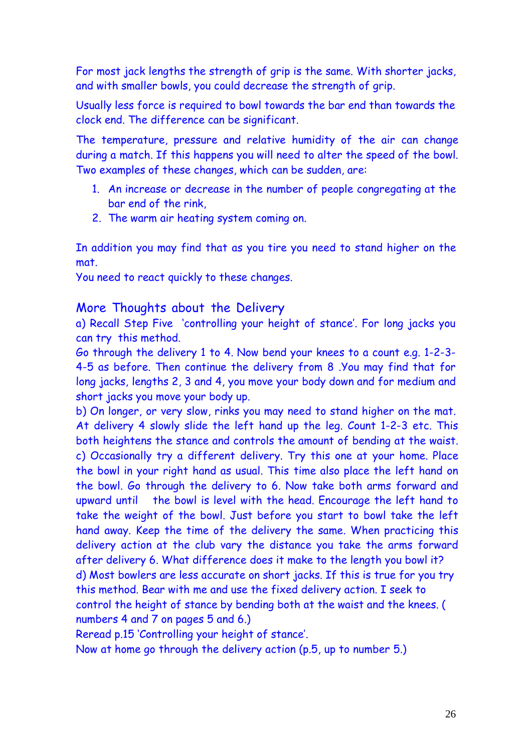For most jack lengths the strength of grip is the same. With shorter jacks, and with smaller bowls, you could decrease the strength of grip.

Usually less force is required to bowl towards the bar end than towards the clock end. The difference can be significant.

The temperature, pressure and relative humidity of the air can change during a match. If this happens you will need to alter the speed of the bowl. Two examples of these changes, which can be sudden, are:

- 1. An increase or decrease in the number of people congregating at the bar end of the rink,
- 2. The warm air heating system coming on.

In addition you may find that as you tire you need to stand higher on the mat.

You need to react quickly to these changes.

#### More Thoughts about the Delivery

a) Recall Step Five 'controlling your height of stance'. For long jacks you can try this method.

Go through the delivery 1 to 4. Now bend your knees to a count e.g. 1-2-3- 4-5 as before. Then continue the delivery from 8 .You may find that for long jacks, lengths 2, 3 and 4, you move your body down and for medium and short jacks you move your body up.

b) On longer, or very slow, rinks you may need to stand higher on the mat. At delivery 4 slowly slide the left hand up the leg. Count 1-2-3 etc. This both heightens the stance and controls the amount of bending at the waist. c) Occasionally try a different delivery. Try this one at your home. Place the bowl in your right hand as usual. This time also place the left hand on the bowl. Go through the delivery to 6. Now take both arms forward and upward until the bowl is level with the head. Encourage the left hand to take the weight of the bowl. Just before you start to bowl take the left hand away. Keep the time of the delivery the same. When practicing this delivery action at the club vary the distance you take the arms forward after delivery 6. What difference does it make to the length you bowl it? d) Most bowlers are less accurate on short jacks. If this is true for you try this method. Bear with me and use the fixed delivery action. I seek to control the height of stance by bending both at the waist and the knees. ( numbers 4 and 7 on pages 5 and 6.)

Reread p.15 'Controlling your height of stance'.

Now at home go through the delivery action (p.5, up to number 5.)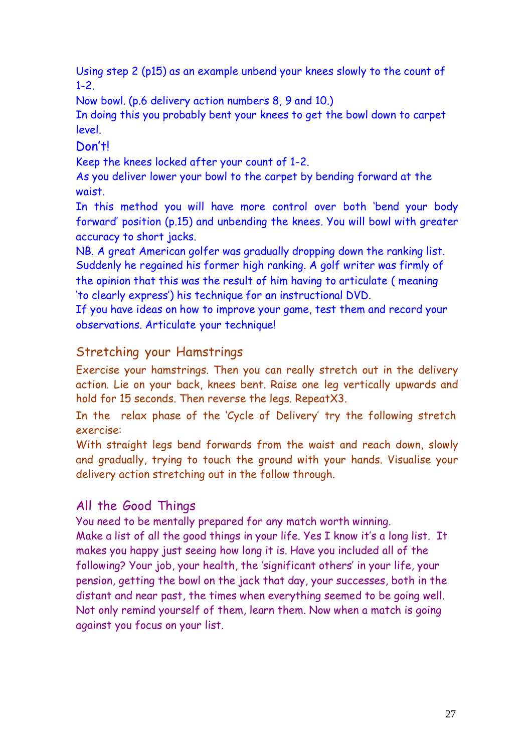Using step 2 (p15) as an example unbend your knees slowly to the count of 1-2.

Now bowl. (p.6 delivery action numbers 8, 9 and 10.)

In doing this you probably bent your knees to get the bowl down to carpet level.

Don't!

Keep the knees locked after your count of 1-2.

As you deliver lower your bowl to the carpet by bending forward at the waist.

In this method you will have more control over both 'bend your body forward' position (p.15) and unbending the knees. You will bowl with greater accuracy to short jacks.

NB. A great American golfer was gradually dropping down the ranking list. Suddenly he regained his former high ranking. A golf writer was firmly of the opinion that this was the result of him having to articulate ( meaning 'to clearly express') his technique for an instructional DVD.

If you have ideas on how to improve your game, test them and record your observations. Articulate your technique!

### Stretching your Hamstrings

Exercise your hamstrings. Then you can really stretch out in the delivery action. Lie on your back, knees bent. Raise one leg vertically upwards and hold for 15 seconds. Then reverse the legs. RepeatX3.

In the relax phase of the 'Cycle of Delivery' try the following stretch exercise:

With straight legs bend forwards from the waist and reach down, slowly and gradually, trying to touch the ground with your hands. Visualise your delivery action stretching out in the follow through.

### All the Good Things

You need to be mentally prepared for any match worth winning. Make a list of all the good things in your life. Yes I know it's a long list. It makes you happy just seeing how long it is. Have you included all of the following? Your job, your health, the 'significant others' in your life, your pension, getting the bowl on the jack that day, your successes, both in the distant and near past, the times when everything seemed to be going well. Not only remind yourself of them, learn them. Now when a match is going against you focus on your list.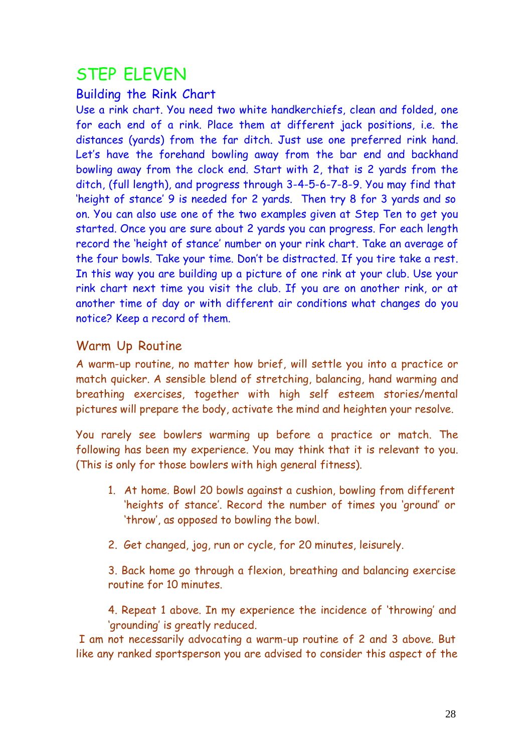# STEP ELEVEN

#### Building the Rink Chart

Use a rink chart. You need two white handkerchiefs, clean and folded, one for each end of a rink. Place them at different jack positions, i.e. the distances (yards) from the far ditch. Just use one preferred rink hand. Let's have the forehand bowling away from the bar end and backhand bowling away from the clock end. Start with 2, that is 2 yards from the ditch, (full length), and progress through 3-4-5-6-7-8-9. You may find that 'height of stance' 9 is needed for 2 yards. Then try 8 for 3 yards and so on. You can also use one of the two examples given at Step Ten to get you started. Once you are sure about 2 yards you can progress. For each length record the 'height of stance' number on your rink chart. Take an average of the four bowls. Take your time. Don't be distracted. If you tire take a rest. In this way you are building up a picture of one rink at your club. Use your rink chart next time you visit the club. If you are on another rink, or at another time of day or with different air conditions what changes do you notice? Keep a record of them.

### Warm Up Routine

A warm-up routine, no matter how brief, will settle you into a practice or match quicker. A sensible blend of stretching, balancing, hand warming and breathing exercises, together with high self esteem stories/mental pictures will prepare the body, activate the mind and heighten your resolve.

You rarely see bowlers warming up before a practice or match. The following has been my experience. You may think that it is relevant to you. (This is only for those bowlers with high general fitness).

- 1. At home. Bowl 20 bowls against a cushion, bowling from different 'heights of stance'. Record the number of times you 'ground' or 'throw', as opposed to bowling the bowl.
- 2. Get changed, jog, run or cycle, for 20 minutes, leisurely.

3. Back home go through a flexion, breathing and balancing exercise routine for 10 minutes.

4. Repeat 1 above. In my experience the incidence of 'throwing' and 'grounding' is greatly reduced.

I am not necessarily advocating a warm-up routine of 2 and 3 above. But like any ranked sportsperson you are advised to consider this aspect of the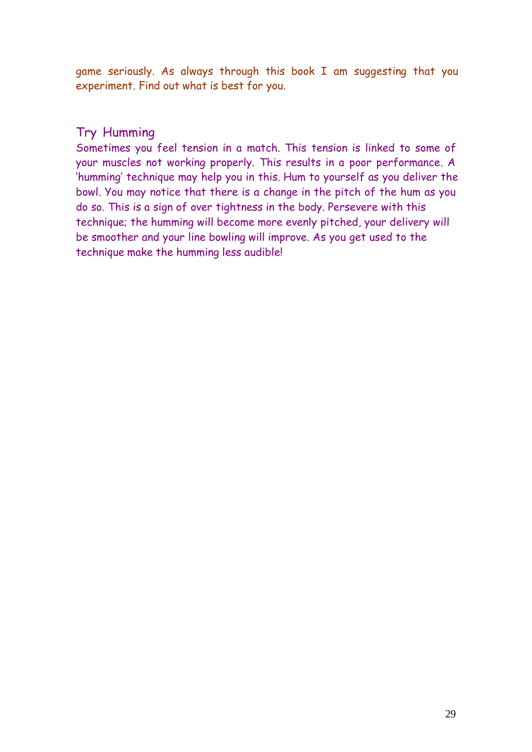game seriously. As always through this book I am suggesting that you experiment. Find out what is best for you.

#### Try Humming

Sometimes you feel tension in a match. This tension is linked to some of your muscles not working properly. This results in a poor performance. A 'humming' technique may help you in this. Hum to yourself as you deliver the bowl. You may notice that there is a change in the pitch of the hum as you do so. This is a sign of over tightness in the body. Persevere with this technique; the humming will become more evenly pitched, your delivery will be smoother and your line bowling will improve. As you get used to the technique make the humming less audible!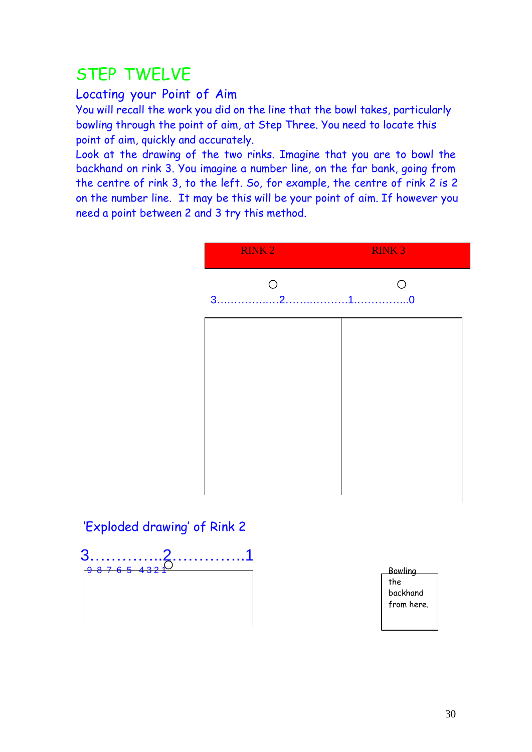# STEP TWELVE

## Locating your Point of Aim

You will recall the work you did on the line that the bowl takes, particularly bowling through the point of aim, at Step Three. You need to locate this point of aim, quickly and accurately.

Look at the drawing of the two rinks. Imagine that you are to bowl the backhand on rink 3. You imagine a number line, on the far bank, going from the centre of rink 3, to the left. So, for example, the centre of rink 2 is 2 on the number line. It may be this will be your point of aim. If however you need a point between 2 and 3 try this method.

|                              | <b>RINK2</b>                       | <b>RINK3</b>                                    |
|------------------------------|------------------------------------|-------------------------------------------------|
|                              | $\bigcirc$<br>$\overline{2}$<br>3. | $\bigcirc$                                      |
|                              |                                    |                                                 |
|                              |                                    |                                                 |
|                              |                                    |                                                 |
|                              |                                    |                                                 |
| 'Exploded drawing' of Rink 2 |                                    |                                                 |
| 3<br>-9                      | .                                  | <b>Bowling</b><br>the<br>backhand<br>from here. |
|                              |                                    |                                                 |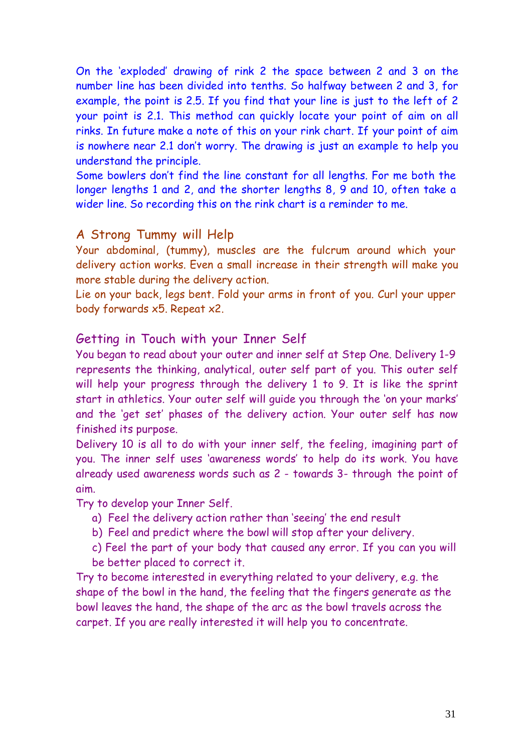On the 'exploded' drawing of rink 2 the space between 2 and 3 on the number line has been divided into tenths. So halfway between 2 and 3, for example, the point is 2.5. If you find that your line is just to the left of 2 your point is 2.1. This method can quickly locate your point of aim on all rinks. In future make a note of this on your rink chart. If your point of aim is nowhere near 2.1 don't worry. The drawing is just an example to help you understand the principle.

Some bowlers don't find the line constant for all lengths. For me both the longer lengths 1 and 2, and the shorter lengths 8, 9 and 10, often take a wider line. So recording this on the rink chart is a reminder to me.

#### A Strong Tummy will Help

Your abdominal, (tummy), muscles are the fulcrum around which your delivery action works. Even a small increase in their strength will make you more stable during the delivery action.

Lie on your back, legs bent. Fold your arms in front of you. Curl your upper body forwards x5. Repeat x2.

#### Getting in Touch with your Inner Self

You began to read about your outer and inner self at Step One. Delivery 1-9 represents the thinking, analytical, outer self part of you. This outer self will help your progress through the delivery 1 to 9. It is like the sprint start in athletics. Your outer self will guide you through the 'on your marks' and the 'get set' phases of the delivery action. Your outer self has now finished its purpose.

Delivery 10 is all to do with your inner self, the feeling, imagining part of you. The inner self uses 'awareness words' to help do its work. You have already used awareness words such as 2 - towards 3- through the point of aim.

Try to develop your Inner Self.

- a) Feel the delivery action rather than 'seeing' the end result
- b) Feel and predict where the bowl will stop after your delivery.
- c) Feel the part of your body that caused any error. If you can you will be better placed to correct it.

Try to become interested in everything related to your delivery, e.g. the shape of the bowl in the hand, the feeling that the fingers generate as the bowl leaves the hand, the shape of the arc as the bowl travels across the carpet. If you are really interested it will help you to concentrate.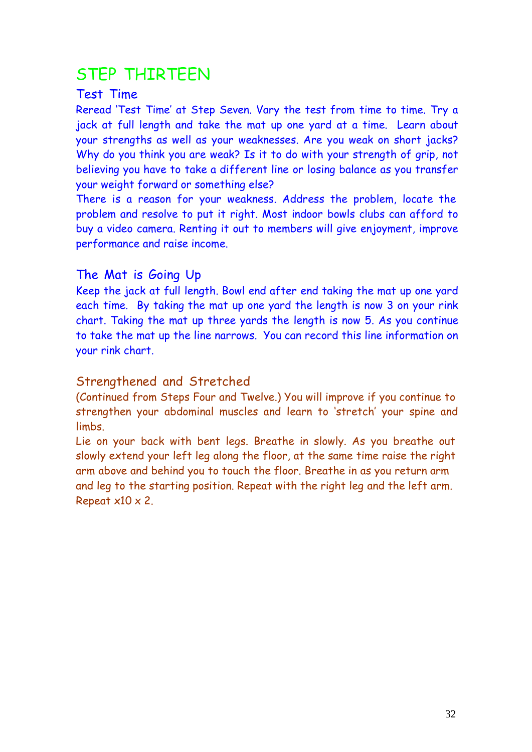# STEP THIRTEEN

#### Test Time

Reread 'Test Time' at Step Seven. Vary the test from time to time. Try a jack at full length and take the mat up one yard at a time. Learn about your strengths as well as your weaknesses. Are you weak on short jacks? Why do you think you are weak? Is it to do with your strength of grip, not believing you have to take a different line or losing balance as you transfer your weight forward or something else?

There is a reason for your weakness. Address the problem, locate the problem and resolve to put it right. Most indoor bowls clubs can afford to buy a video camera. Renting it out to members will give enjoyment, improve performance and raise income.

### The Mat is Going Up

Keep the jack at full length. Bowl end after end taking the mat up one yard each time. By taking the mat up one yard the length is now 3 on your rink chart. Taking the mat up three yards the length is now 5. As you continue to take the mat up the line narrows. You can record this line information on your rink chart.

### Strengthened and Stretched

(Continued from Steps Four and Twelve.) You will improve if you continue to strengthen your abdominal muscles and learn to 'stretch' your spine and limbs.

Lie on your back with bent legs. Breathe in slowly. As you breathe out slowly extend your left leg along the floor, at the same time raise the right arm above and behind you to touch the floor. Breathe in as you return arm and leg to the starting position. Repeat with the right leg and the left arm. Repeat  $x10 \times 2$ .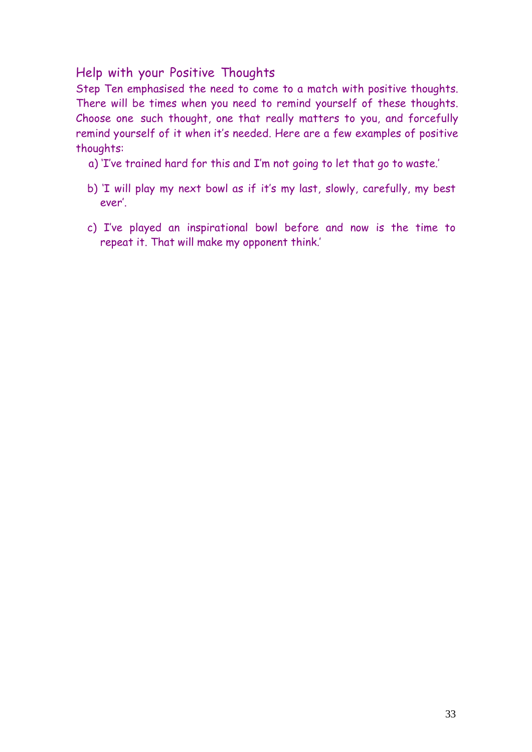### Help with your Positive Thoughts

Step Ten emphasised the need to come to a match with positive thoughts. There will be times when you need to remind yourself of these thoughts. Choose one such thought, one that really matters to you, and forcefully remind yourself of it when it's needed. Here are a few examples of positive thoughts:

- a) 'I've trained hard for this and I'm not going to let that go to waste.'
- b) 'I will play my next bowl as if it's my last, slowly, carefully, my best ever'.
- c) I've played an inspirational bowl before and now is the time to repeat it. That will make my opponent think.'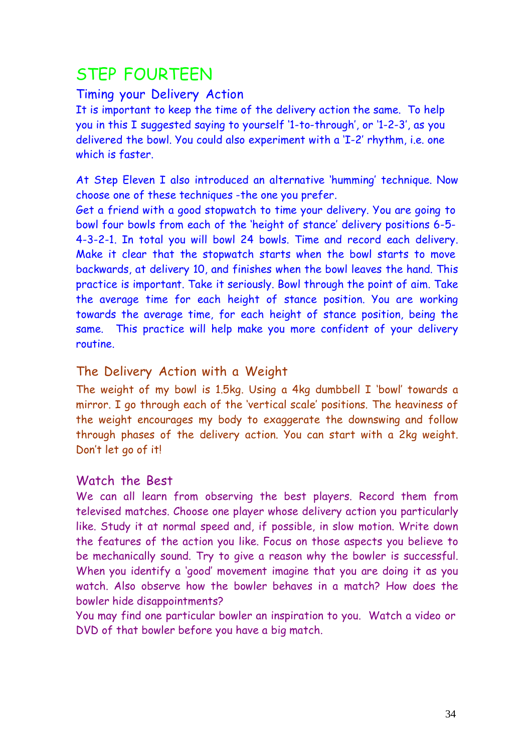# STEP FOURTEEN

#### Timing your Delivery Action

It is important to keep the time of the delivery action the same. To help you in this I suggested saying to yourself '1-to-through', or '1-2-3', as you delivered the bowl. You could also experiment with a 'I-2' rhythm, i.e. one which is faster.

At Step Eleven I also introduced an alternative 'humming' technique. Now choose one of these techniques -the one you prefer.

Get a friend with a good stopwatch to time your delivery. You are going to bowl four bowls from each of the 'height of stance' delivery positions 6-5- 4-3-2-1. In total you will bowl 24 bowls. Time and record each delivery. Make it clear that the stopwatch starts when the bowl starts to move backwards, at delivery 10, and finishes when the bowl leaves the hand. This practice is important. Take it seriously. Bowl through the point of aim. Take the average time for each height of stance position. You are working towards the average time, for each height of stance position, being the same. This practice will help make you more confident of your delivery routine.

### The Delivery Action with a Weight

The weight of my bowl is 1.5kg. Using a 4kg dumbbell I 'bowl' towards a mirror. I go through each of the 'vertical scale' positions. The heaviness of the weight encourages my body to exaggerate the downswing and follow through phases of the delivery action. You can start with a 2kg weight. Don't let go of it!

#### Watch the Best

We can all learn from observing the best players. Record them from televised matches. Choose one player whose delivery action you particularly like. Study it at normal speed and, if possible, in slow motion. Write down the features of the action you like. Focus on those aspects you believe to be mechanically sound. Try to give a reason why the bowler is successful. When you identify a 'good' movement imagine that you are doing it as you watch. Also observe how the bowler behaves in a match? How does the bowler hide disappointments?

You may find one particular bowler an inspiration to you. Watch a video or DVD of that bowler before you have a big match.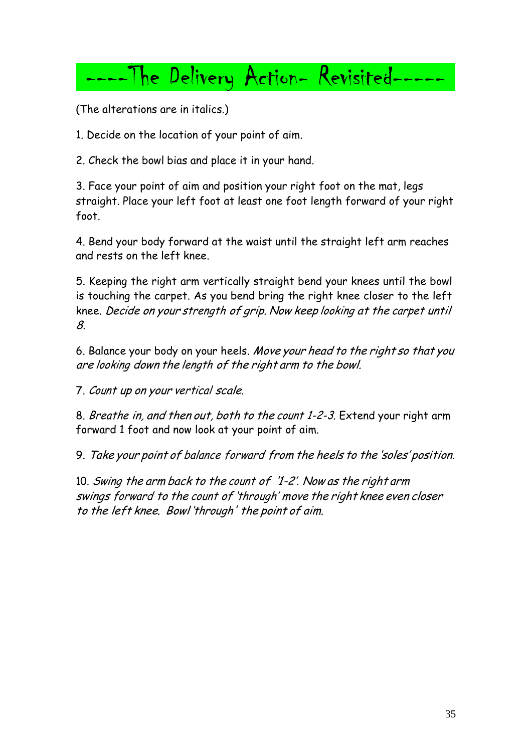# ----The Delivery Action- Revisited---

(The alterations are in italics.)

1. Decide on the location of your point of aim.

2. Check the bowl bias and place it in your hand.

3. Face your point of aim and position your right foot on the mat, legs straight. Place your left foot at least one foot length forward of your right foot.

4. Bend your body forward at the waist until the straight left arm reaches and rests on the left knee.

5. Keeping the right arm vertically straight bend your knees until the bowl is touching the carpet. As you bend bring the right knee closer to the left knee. Decide on your strength of grip. Now keep looking at the carpet until 8.

6. Balance your body on your heels. Move your head to the right so that you are looking down the length of the right arm to the bowl.

7. Count up on your vertical scale.

8. Breathe in, and then out, both to the count 1-2-3. Extend your right arm forward 1 foot and now look at your point of aim.

9. Take your point of balance forward from the heels to the 'soles' position.

10. Swing the arm back to the count of '1-2'. Now as the right arm swings forward to the count of 'through' move the right knee even closer to the left knee. Bowl 'through' the point of aim.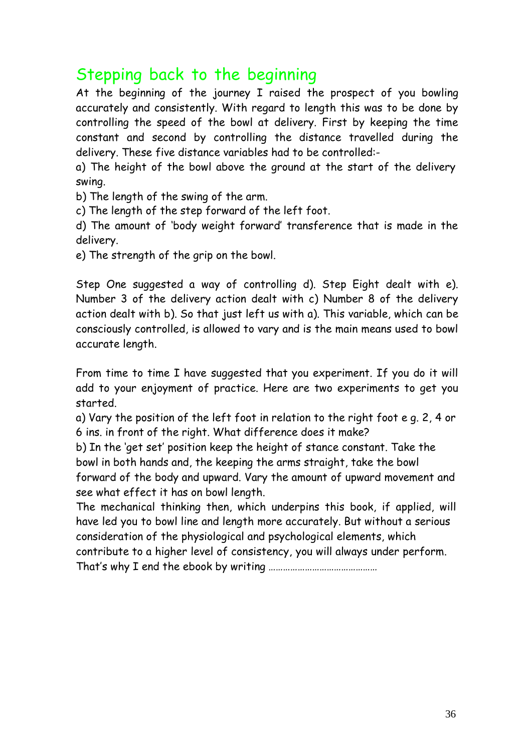# Stepping back to the beginning

At the beginning of the journey I raised the prospect of you bowling accurately and consistently. With regard to length this was to be done by controlling the speed of the bowl at delivery. First by keeping the time constant and second by controlling the distance travelled during the delivery. These five distance variables had to be controlled:-

a) The height of the bowl above the ground at the start of the delivery swing.

b) The length of the swing of the arm.

c) The length of the step forward of the left foot.

d) The amount of 'body weight forward' transference that is made in the delivery.

e) The strength of the grip on the bowl.

Step One suggested a way of controlling d). Step Eight dealt with e). Number 3 of the delivery action dealt with c) Number 8 of the delivery action dealt with b). So that just left us with a). This variable, which can be consciously controlled, is allowed to vary and is the main means used to bowl accurate length.

From time to time I have suggested that you experiment. If you do it will add to your enjoyment of practice. Here are two experiments to get you started.

a) Vary the position of the left foot in relation to the right foot e g. 2, 4 or 6 ins. in front of the right. What difference does it make?

b) In the 'get set' position keep the height of stance constant. Take the bowl in both hands and, the keeping the arms straight, take the bowl forward of the body and upward. Vary the amount of upward movement and see what effect it has on bowl length.

The mechanical thinking then, which underpins this book, if applied, will have led you to bowl line and length more accurately. But without a serious consideration of the physiological and psychological elements, which contribute to a higher level of consistency, you will always under perform. That's why I end the ebook by writing ………………………………………